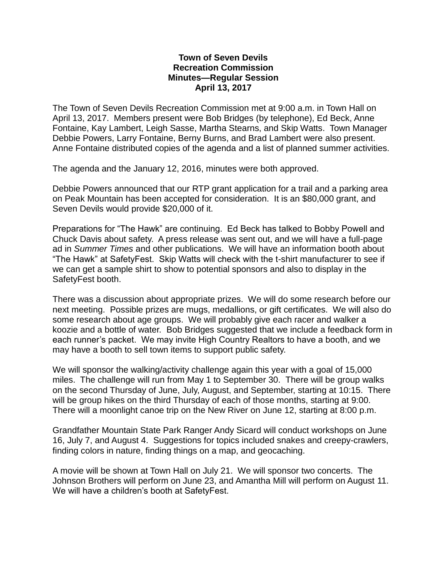## **Town of Seven Devils Recreation Commission Minutes—Regular Session April 13, 2017**

The Town of Seven Devils Recreation Commission met at 9:00 a.m. in Town Hall on April 13, 2017. Members present were Bob Bridges (by telephone), Ed Beck, Anne Fontaine, Kay Lambert, Leigh Sasse, Martha Stearns, and Skip Watts. Town Manager Debbie Powers, Larry Fontaine, Berny Burns, and Brad Lambert were also present. Anne Fontaine distributed copies of the agenda and a list of planned summer activities.

The agenda and the January 12, 2016, minutes were both approved.

Debbie Powers announced that our RTP grant application for a trail and a parking area on Peak Mountain has been accepted for consideration. It is an \$80,000 grant, and Seven Devils would provide \$20,000 of it.

Preparations for "The Hawk" are continuing. Ed Beck has talked to Bobby Powell and Chuck Davis about safety. A press release was sent out, and we will have a full-page ad in *Summer Times* and other publications. We will have an information booth about "The Hawk" at SafetyFest. Skip Watts will check with the t-shirt manufacturer to see if we can get a sample shirt to show to potential sponsors and also to display in the SafetyFest booth.

There was a discussion about appropriate prizes. We will do some research before our next meeting. Possible prizes are mugs, medallions, or gift certificates. We will also do some research about age groups. We will probably give each racer and walker a koozie and a bottle of water. Bob Bridges suggested that we include a feedback form in each runner's packet. We may invite High Country Realtors to have a booth, and we may have a booth to sell town items to support public safety.

We will sponsor the walking/activity challenge again this year with a goal of 15,000 miles. The challenge will run from May 1 to September 30. There will be group walks on the second Thursday of June, July, August, and September, starting at 10:15. There will be group hikes on the third Thursday of each of those months, starting at 9:00. There will a moonlight canoe trip on the New River on June 12, starting at 8:00 p.m.

Grandfather Mountain State Park Ranger Andy Sicard will conduct workshops on June 16, July 7, and August 4. Suggestions for topics included snakes and creepy-crawlers, finding colors in nature, finding things on a map, and geocaching.

A movie will be shown at Town Hall on July 21. We will sponsor two concerts. The Johnson Brothers will perform on June 23, and Amantha Mill will perform on August 11. We will have a children's booth at SafetyFest.